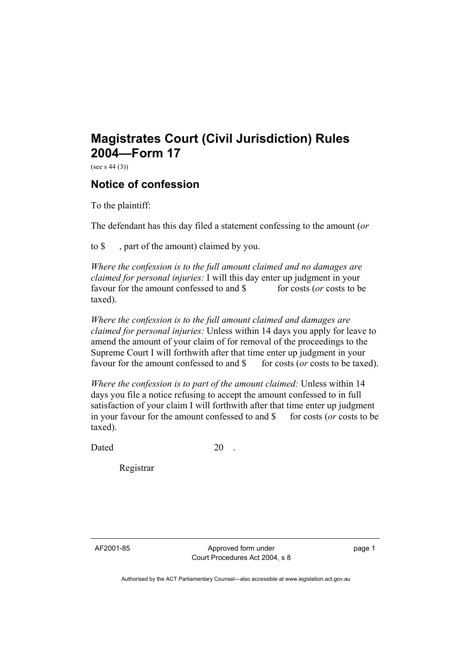## **Magistrates Court (Civil Jurisdiction) Rules 2004—Form 17**

(see s 44 (3))

## **Notice of confession**

To the plaintiff:

The defendant has this day filed a statement confessing to the amount (*or*

to \$ , part of the amount) claimed by you.

*Where the confession is to the full amount claimed and no damages are claimed for personal injuries:* I will this day enter up judgment in your favour for the amount confessed to and \$ for costs (*or* costs to be taxed).

*Where the confession is to the full amount claimed and damages are claimed for personal injuries:* Unless within 14 days you apply for leave to amend the amount of your claim of for removal of the proceedings to the Supreme Court I will forthwith after that time enter up judgment in your favour for the amount confessed to and \$ for costs (*or* costs to be taxed).

*Where the confession is to part of the amount claimed:* Unless within 14 days you file a notice refusing to accept the amount confessed to in full satisfaction of your claim I will forthwith after that time enter up judgment in your favour for the amount confessed to and \$ for costs (*or* costs to be taxed).

Dated 20

Registrar

AF2001-85 Approved form under Court Procedures Act 2004, s 8 page 1

Authorised by the ACT Parliamentary Counsel—also accessible at www.legislation.act.gov.au